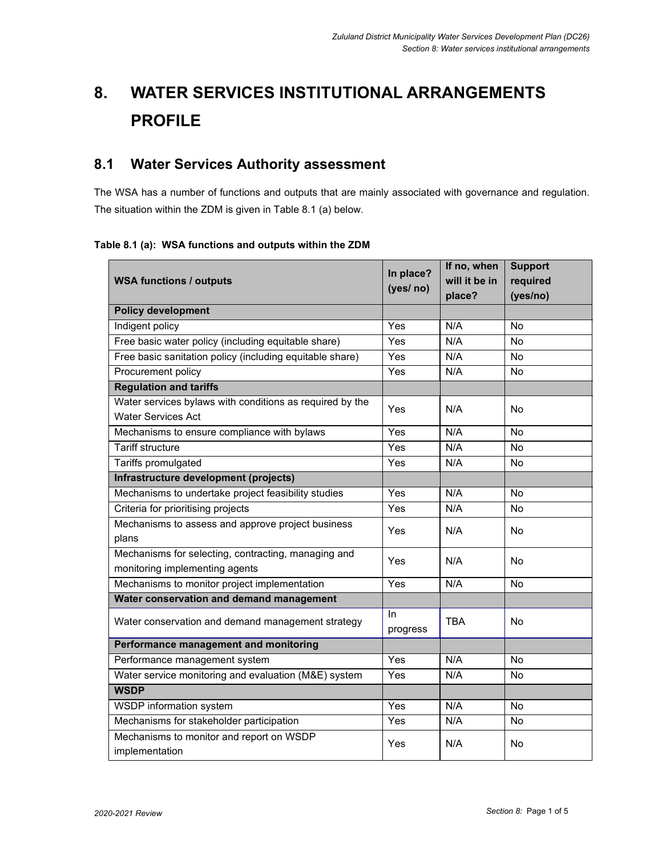# **8. WATER SERVICES INSTITUTIONAL ARRANGEMENTS PROFILE**

# **8.1 Water Services Authority assessment**

The WSA has a number of functions and outputs that are mainly associated with governance and regulation. The situation within the ZDM is given in Table 8.1 (a) below.

#### **Table 8.1 (a): WSA functions and outputs within the ZDM**

| <b>WSA functions / outputs</b>                                                        | In place?<br>(yes/ no) | If no, when<br>will it be in | <b>Support</b><br>required |
|---------------------------------------------------------------------------------------|------------------------|------------------------------|----------------------------|
|                                                                                       |                        | place?                       | (yes/no)                   |
| <b>Policy development</b>                                                             |                        |                              |                            |
| Indigent policy                                                                       | Yes                    | N/A                          | <b>No</b>                  |
| Free basic water policy (including equitable share)                                   | Yes                    | N/A                          | No                         |
| Free basic sanitation policy (including equitable share)                              | Yes                    | N/A                          | No                         |
| Procurement policy                                                                    | Yes                    | N/A                          | No                         |
| <b>Regulation and tariffs</b>                                                         |                        |                              |                            |
| Water services bylaws with conditions as required by the<br><b>Water Services Act</b> | Yes                    | N/A                          | No                         |
| Mechanisms to ensure compliance with bylaws                                           | Yes                    | N/A                          | N <sub>o</sub>             |
| <b>Tariff structure</b>                                                               | Yes                    | N/A                          | No                         |
| Tariffs promulgated                                                                   | Yes                    | N/A                          | No                         |
| Infrastructure development (projects)                                                 |                        |                              |                            |
| Mechanisms to undertake project feasibility studies                                   | Yes                    | N/A                          | <b>No</b>                  |
| Criteria for prioritising projects                                                    | Yes                    | N/A                          | No                         |
| Mechanisms to assess and approve project business<br>plans                            | Yes                    | N/A                          | No                         |
| Mechanisms for selecting, contracting, managing and<br>monitoring implementing agents | Yes                    | N/A                          | <b>No</b>                  |
| Mechanisms to monitor project implementation<br>Yes                                   |                        | N/A                          | No                         |
| Water conservation and demand management                                              |                        |                              |                            |
| Water conservation and demand management strategy                                     | In.<br>progress        | <b>TBA</b>                   | No                         |
| Performance management and monitoring                                                 |                        |                              |                            |
| Performance management system                                                         | Yes                    | N/A                          | <b>No</b>                  |
| Water service monitoring and evaluation (M&E) system                                  | Yes                    | N/A                          | No                         |
| <b>WSDP</b>                                                                           |                        |                              |                            |
| <b>WSDP</b> information system                                                        | Yes                    | N/A                          | No                         |
| Mechanisms for stakeholder participation                                              | Yes                    | N/A                          | No                         |
| Mechanisms to monitor and report on WSDP<br>implementation                            | Yes                    | N/A                          | No                         |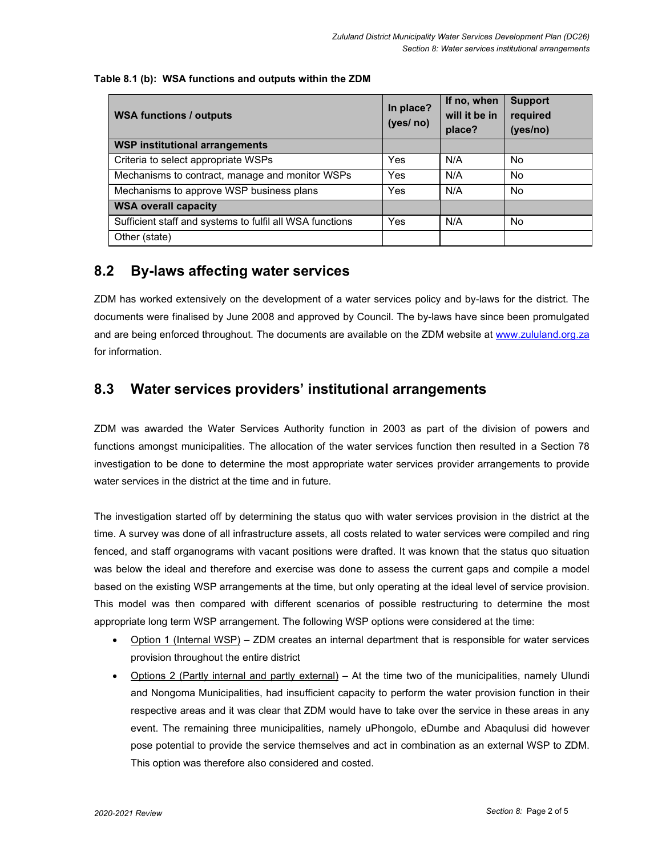#### **Table 8.1 (b): WSA functions and outputs within the ZDM**

| <b>WSA functions / outputs</b>                           | In place?<br>(yes/ no) | If no, when<br>will it be in<br>place? | <b>Support</b><br>required<br>(yes/no) |
|----------------------------------------------------------|------------------------|----------------------------------------|----------------------------------------|
| <b>WSP institutional arrangements</b>                    |                        |                                        |                                        |
| Criteria to select appropriate WSPs                      | Yes                    | N/A                                    | No.                                    |
| Mechanisms to contract, manage and monitor WSPs          | Yes                    | N/A                                    | No.                                    |
| Mechanisms to approve WSP business plans                 | Yes                    | N/A                                    | <b>No</b>                              |
| <b>WSA overall capacity</b>                              |                        |                                        |                                        |
| Sufficient staff and systems to fulfil all WSA functions | Yes                    | N/A                                    | No.                                    |
| Other (state)                                            |                        |                                        |                                        |

## **8.2 By-laws affecting water services**

ZDM has worked extensively on the development of a water services policy and by-laws for the district. The documents were finalised by June 2008 and approved by Council. The by-laws have since been promulgated and are being enforced throughout. The documents are available on the ZDM website at www.zululand.org.za for information.

## **8.3 Water services providers' institutional arrangements**

ZDM was awarded the Water Services Authority function in 2003 as part of the division of powers and functions amongst municipalities. The allocation of the water services function then resulted in a Section 78 investigation to be done to determine the most appropriate water services provider arrangements to provide water services in the district at the time and in future.

The investigation started off by determining the status quo with water services provision in the district at the time. A survey was done of all infrastructure assets, all costs related to water services were compiled and ring fenced, and staff organograms with vacant positions were drafted. It was known that the status quo situation was below the ideal and therefore and exercise was done to assess the current gaps and compile a model based on the existing WSP arrangements at the time, but only operating at the ideal level of service provision. This model was then compared with different scenarios of possible restructuring to determine the most appropriate long term WSP arrangement. The following WSP options were considered at the time:

- Option 1 (Internal WSP) ZDM creates an internal department that is responsible for water services provision throughout the entire district
- Options 2 (Partly internal and partly external) At the time two of the municipalities, namely Ulundi and Nongoma Municipalities, had insufficient capacity to perform the water provision function in their respective areas and it was clear that ZDM would have to take over the service in these areas in any event. The remaining three municipalities, namely uPhongolo, eDumbe and Abaqulusi did however pose potential to provide the service themselves and act in combination as an external WSP to ZDM. This option was therefore also considered and costed.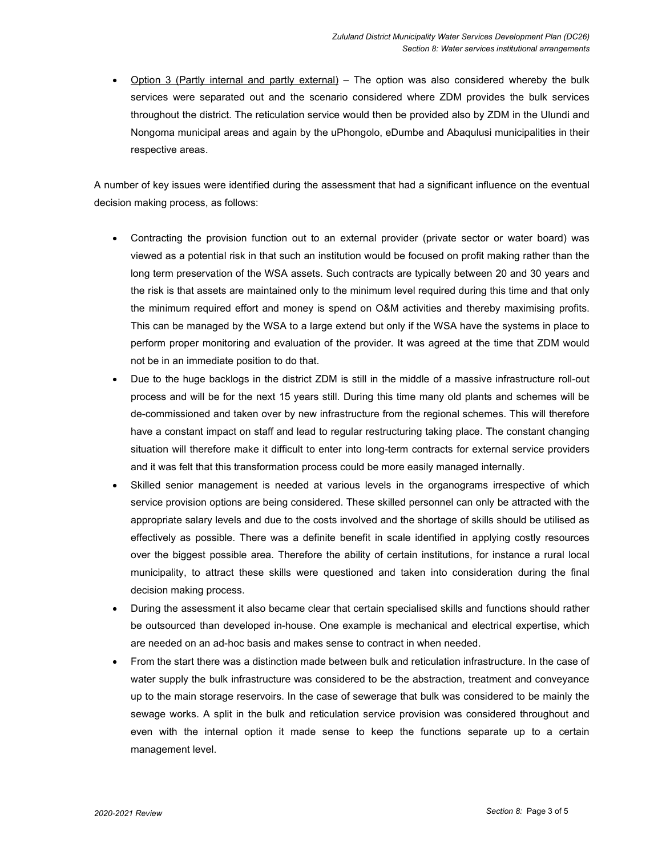Option 3 (Partly internal and partly external) – The option was also considered whereby the bulk services were separated out and the scenario considered where ZDM provides the bulk services throughout the district. The reticulation service would then be provided also by ZDM in the Ulundi and Nongoma municipal areas and again by the uPhongolo, eDumbe and Abaqulusi municipalities in their respective areas.

A number of key issues were identified during the assessment that had a significant influence on the eventual decision making process, as follows:

- Contracting the provision function out to an external provider (private sector or water board) was viewed as a potential risk in that such an institution would be focused on profit making rather than the long term preservation of the WSA assets. Such contracts are typically between 20 and 30 years and the risk is that assets are maintained only to the minimum level required during this time and that only the minimum required effort and money is spend on O&M activities and thereby maximising profits. This can be managed by the WSA to a large extend but only if the WSA have the systems in place to perform proper monitoring and evaluation of the provider. It was agreed at the time that ZDM would not be in an immediate position to do that.
- Due to the huge backlogs in the district ZDM is still in the middle of a massive infrastructure roll-out process and will be for the next 15 years still. During this time many old plants and schemes will be de-commissioned and taken over by new infrastructure from the regional schemes. This will therefore have a constant impact on staff and lead to regular restructuring taking place. The constant changing situation will therefore make it difficult to enter into long-term contracts for external service providers and it was felt that this transformation process could be more easily managed internally.
- Skilled senior management is needed at various levels in the organograms irrespective of which service provision options are being considered. These skilled personnel can only be attracted with the appropriate salary levels and due to the costs involved and the shortage of skills should be utilised as effectively as possible. There was a definite benefit in scale identified in applying costly resources over the biggest possible area. Therefore the ability of certain institutions, for instance a rural local municipality, to attract these skills were questioned and taken into consideration during the final decision making process.
- During the assessment it also became clear that certain specialised skills and functions should rather be outsourced than developed in-house. One example is mechanical and electrical expertise, which are needed on an ad-hoc basis and makes sense to contract in when needed.
- From the start there was a distinction made between bulk and reticulation infrastructure. In the case of water supply the bulk infrastructure was considered to be the abstraction, treatment and conveyance up to the main storage reservoirs. In the case of sewerage that bulk was considered to be mainly the sewage works. A split in the bulk and reticulation service provision was considered throughout and even with the internal option it made sense to keep the functions separate up to a certain management level.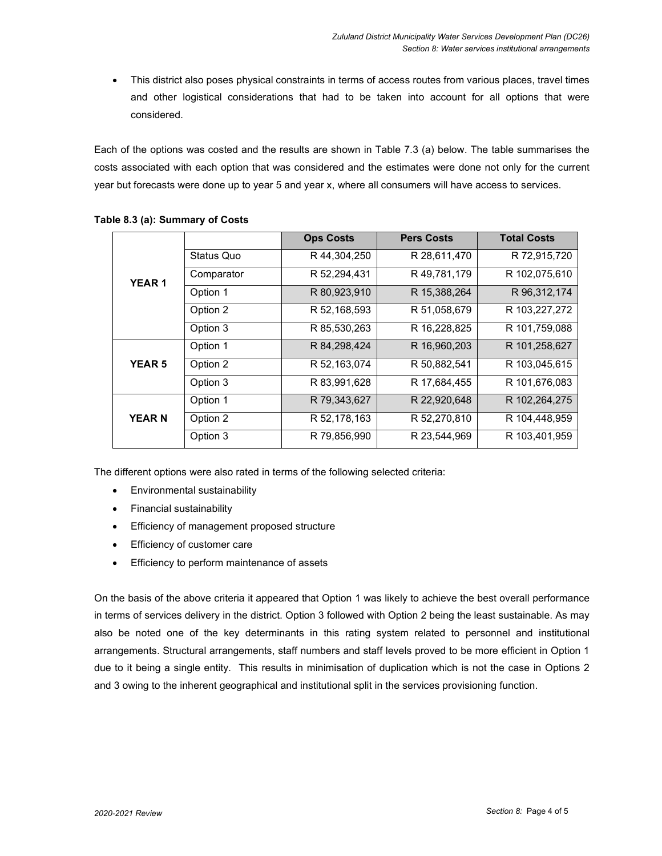This district also poses physical constraints in terms of access routes from various places, travel times and other logistical considerations that had to be taken into account for all options that were considered.

Each of the options was costed and the results are shown in Table 7.3 (a) below. The table summarises the costs associated with each option that was considered and the estimates were done not only for the current year but forecasts were done up to year 5 and year x, where all consumers will have access to services.

|               |            | <b>Ops Costs</b> | <b>Pers Costs</b> | <b>Total Costs</b> |
|---------------|------------|------------------|-------------------|--------------------|
| <b>YEAR1</b>  | Status Quo | R 44,304,250     | R 28,611,470      | R 72,915,720       |
|               | Comparator | R 52,294,431     | R 49,781,179      | R 102,075,610      |
|               | Option 1   | R 80,923,910     | R 15,388,264      | R 96, 312, 174     |
|               | Option 2   | R 52,168,593     | R 51,058,679      | R 103,227,272      |
|               | Option 3   | R 85,530,263     | R 16,228,825      | R 101,759,088      |
| <b>YEAR 5</b> | Option 1   | R 84, 298, 424   | R 16,960,203      | R 101,258,627      |
|               | Option 2   | R 52,163,074     | R 50,882,541      | R 103,045,615      |
|               | Option 3   | R 83,991,628     | R 17,684,455      | R 101,676,083      |
| <b>YEARN</b>  | Option 1   | R 79,343,627     | R 22,920,648      | R 102,264,275      |
|               | Option 2   | R 52,178,163     | R 52,270,810      | R 104,448,959      |
|               | Option 3   | R 79,856,990     | R 23,544,969      | R 103,401,959      |

#### **Table 8.3 (a): Summary of Costs**

The different options were also rated in terms of the following selected criteria:

- Environmental sustainability
- Financial sustainability
- Efficiency of management proposed structure
- Efficiency of customer care
- Efficiency to perform maintenance of assets

On the basis of the above criteria it appeared that Option 1 was likely to achieve the best overall performance in terms of services delivery in the district. Option 3 followed with Option 2 being the least sustainable. As may also be noted one of the key determinants in this rating system related to personnel and institutional arrangements. Structural arrangements, staff numbers and staff levels proved to be more efficient in Option 1 due to it being a single entity. This results in minimisation of duplication which is not the case in Options 2 and 3 owing to the inherent geographical and institutional split in the services provisioning function.